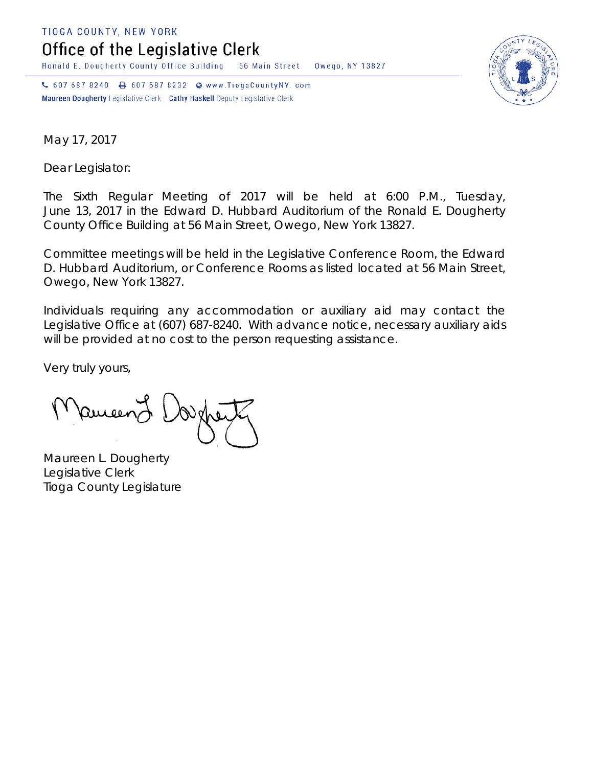TIOGA COUNTY, NEW YORK

Office of the Legislative Clerk

Ronald E. Dougherty County Office Building 56 Main Street Owego, NY 13827

↓ 607 687 8240 → 607 687 8232 → www.TiogaCountyNY.com Maureen Dougherty Legislative Clerk Cathy Haskell Deputy Legislative Clerk



May 17, 2017

Dear Legislator:

The Sixth Regular Meeting of 2017 will be held at 6:00 P.M., Tuesday, June 13, 2017 in the Edward D. Hubbard Auditorium of the Ronald E. Dougherty County Office Building at 56 Main Street, Owego, New York 13827.

Committee meetings will be held in the Legislative Conference Room, the Edward D. Hubbard Auditorium, or Conference Rooms as listed located at 56 Main Street, Owego, New York 13827.

Individuals requiring any accommodation or auxiliary aid may contact the Legislative Office at (607) 687-8240. With advance notice, necessary auxiliary aids will be provided at no cost to the person requesting assistance.

Very truly yours,

Pameen J

Maureen L. Dougherty Legislative Clerk Tioga County Legislature